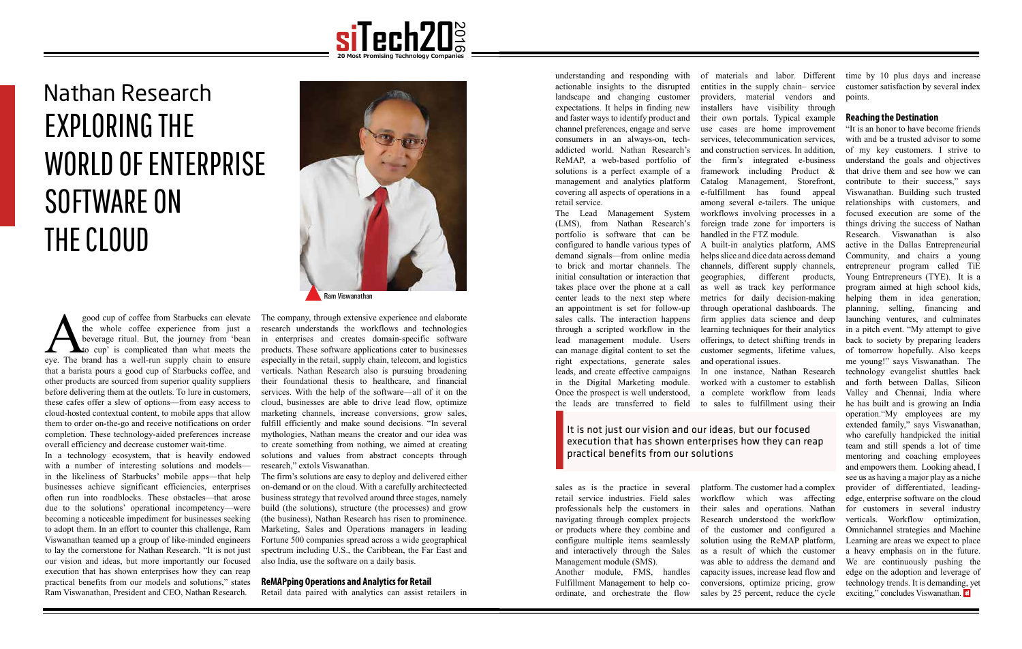

good cup of coffee from Starbucks can elevate<br>the whole coffee experience from just a<br>beverage ritual. But, the journey from 'bean<br>eye. The brand has a well-run supply chain to ensure the whole coffee experience from just a beverage ritual. But, the journey from 'bean to cup' is complicated than what meets the that a barista pours a good cup of Starbucks coffee, and other products are sourced from superior quality suppliers before delivering them at the outlets. To lure in customers, these cafes offer a slew of options—from easy access to cloud-hosted contextual content, to mobile apps that allow them to order on-the-go and receive notifications on order completion. These technology-aided preferences increase overall efficiency and decrease customer wait-time.

In a technology ecosystem, that is heavily endowed with a number of interesting solutions and models in the likeliness of Starbucks' mobile apps—that help businesses achieve significant efficiencies, enterprises often run into roadblocks. These obstacles—that arose due to the solutions' operational incompetency—were becoming a noticeable impediment for businesses seeking to adopt them. In an effort to counter this challenge, Ram Viswanathan teamed up a group of like-minded engineers to lay the cornerstone for Nathan Research. "It is not just our vision and ideas, but more importantly our focused execution that has shown enterprises how they can reap practical benefits from our models and solutions," states Ram Viswanathan, President and CEO, Nathan Research.

# Nathan Research EXPLORING THE WORLD OF ENTERPRISE SOFTWARE ON THE CLOUD

The company, through extensive experience and elaborate research understands the workflows and technologies in enterprises and creates domain-specific software products. These software applications cater to businesses especially in the retail, supply chain, telecom, and logistics verticals. Nathan Research also is pursuing broadening their foundational thesis to healthcare, and financial services. With the help of the software—all of it on the cloud, businesses are able to drive lead flow, optimize marketing channels, increase conversions, grow sales, fulfill efficiently and make sound decisions. "In several mythologies, Nathan means the creator and our idea was to create something from nothing, we aimed at creating solutions and values from abstract concepts through research," extols Viswanathan.

The firm's solutions are easy to deploy and delivered either on-demand or on the cloud. With a carefully architectected business strategy that revolved around three stages, namely build (the solutions), structure (the processes) and grow (the business), Nathan Research has risen to prominence. Marketing, Sales and Operations managers in leading Fortune 500 companies spread across a wide geographical spectrum including U.S., the Caribbean, the Far East and also India, use the software on a daily basis.

#### **ReMAPping Operations and Analytics for Retail**

Retail data paired with analytics can assist retailers in



It is not just our vision and our ideas, but our focused execution that has shown enterprises how they can reap practical benefits from our solutions

understanding and responding with actionable insights to the disrupted landscape and changing customer expectations. It helps in finding new and faster ways to identify product and channel preferences, engage and serve consumers in an always-on, techaddicted world. Nathan Research's ReMAP, a web-based portfolio of solutions is a perfect example of a management and analytics platform covering all aspects of operations in a retail service.

The Lead Management System workflows involving processes in a (LMS), from Nathan Research's portfolio is software that can be configured to handle various types of demand signals—from online media to brick and mortar channels. The initial consultation or interaction that takes place over the phone at a call center leads to the next step where an appointment is set for follow-up sales calls. The interaction happens through a scripted workflow in the lead management module. Users can manage digital content to set the right expectations, generate sales leads, and create effective campaigns in the Digital Marketing module. Once the prospect is well understood,

sales as is the practice in several retail service industries. Field sales professionals help the customers in navigating through complex projects or products where they combine and configure multiple items seamlessly and interactively through the Sales as a result of which the customer Management module (SMS).

Another module, FMS, handles capacity issues, increase lead flow and Fulfillment Management to help coordinate, and orchestrate the flow

the leads are transferred to field to sales to fulfillment using their of materials and labor. Different entities in the supply chain– service providers, material vendors and installers have visibility through their own portals. Typical example use cases are home improvement services, telecommunication services, and construction services. In addition, the firm's integrated e-business framework including Product & Catalog Management, Storefront, e-fulfillment has found appeal among several e-tailers. The unique foreign trade zone for importers is handled in the FTZ module. A built-in analytics platform, AMS helps slice and dice data across demand channels, different supply channels, geographies, different products, as well as track key performance metrics for daily decision-making through operational dashboards. The firm applies data science and deep learning techniques for their analytics offerings, to detect shifting trends in customer segments, lifetime values, and operational issues. In one instance, Nathan Research worked with a customer to establish a complete workflow from leads

> platform. The customer had a complex workflow which was affecting their sales and operations. Nathan Research understood the workflow of the customer and configured a solution using the ReMAP platform, was able to address the demand and conversions, optimize pricing, grow sales by 25 percent, reduce the cycle

time by 10 plus days and increase customer satisfaction by several index points.

### **Reaching the Destination**

Nathan Research<br>| EXPLORING THE<br>WORLD OF ENTERPRISE<br>| CIONARE ON<br>| A CIONARE ON | JULY 2016 40 2016 40 2017<br>| A CIONARE ON | JULY 2017<br>| A CIONARE ON | JULY 2017 40 2017 40 2017 40 2018 40 2017 40 2017 40 2017 40 2018 "It is an honor to have become friends with and be a trusted advisor to some of my key customers. I strive to understand the goals and objectives that drive them and see how we can contribute to their success," says Viswanathan. Building such trusted relationships with customers, and focused execution are some of the things driving the success of Nathan Research. Viswanathan is also active in the Dallas Entrepreneurial Community, and chairs a young entrepreneur program called TiE Young Entrepreneurs (TYE). It is a program aimed at high school kids, helping them in idea generation, planning, selling, financing and launching ventures, and culminates in a pitch event. "My attempt to give back to society by preparing leaders of tomorrow hopefully. Also keeps me young!" says Viswanathan. The technology evangelist shuttles back and forth between Dallas, Silicon Valley and Chennai, India where he has built and is growing an India operation."My employees are my extended family," says Viswanathan, who carefully handpicked the initial team and still spends a lot of time mentoring and coaching employees and empowers them. Looking ahead, I see us as having a major play as a niche provider of differentiated, leadingedge, enterprise software on the cloud for customers in several industry verticals. Workflow optimization, Omnichannel strategies and Machine Learning are areas we expect to place a heavy emphasis on in the future. We are continuously pushing the edge on the adoption and leverage of technology trends. It is demanding, yet exciting," concludes Viswanathan.